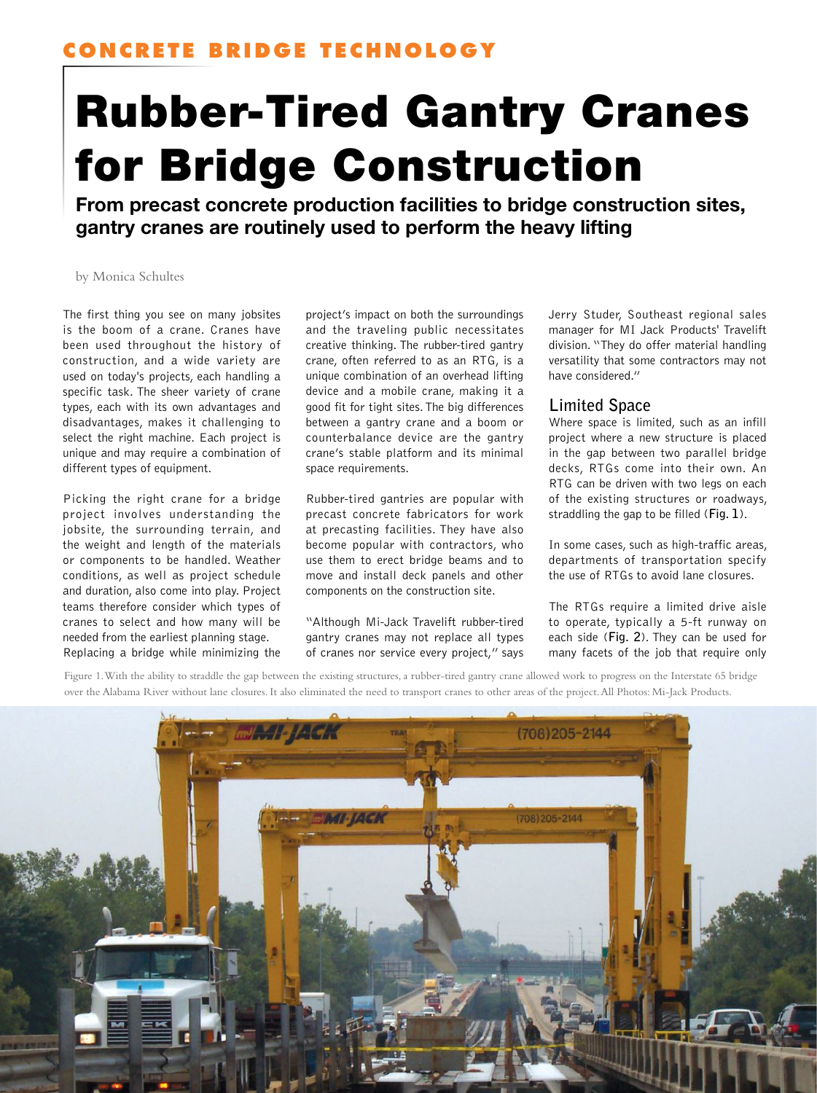# Rubber-Tired Gantry Cranes for Bridge Construction

From precast concrete production facilities to bridge construction sites, gantry cranes are routinely used to perform the heavy lifting

by Monica Schultes

The first thing you see on many jobsites is the boom of a crane. Cranes have been used throughout the history of construction, and a wide variety are used on today's projects, each handling a specific task. The sheer variety of crane types, each with its own advantages and disadvantages, makes it challenging to select the right machine. Each project is unique and may require a combination of different types of equipment.

Picking the right crane for a bridge project involves understanding the jobsite, the surrounding terrain, and the weight and length of the materials or components to be handled. Weather conditions, as well as project schedule and duration, also come into play. Project teams therefore consider which types of cranes to select and how many will be needed from the earliest planning stage. Replacing a bridge while minimizing the project's impact on both the surroundings and the traveling public necessitates creative thinking. The rubber-tired gantry crane, often referred to as an RTG, is a unique combination of an overhead lifting device and a mobile crane, making it a good fit for tight sites. The big differences between a gantry crane and a boom or counterbalance device are the gantry crane's stable platform and its minimal space requirements.

Rubber-tired gantries are popular with precast concrete fabricators for work at precasting facilities. They have also become popular with contractors, who use them to erect bridge beams and to move and install deck panels and other components on the construction site.

"Although Mi-Jack Travelift rubber-tired gantry cranes may not replace all types of cranes nor service every project," says Jerry Studer, Southeast regional sales manager for MI Jack Products' Travelift division. "They do offer material handling versatility that some contractors may not have considered."

## **Limited Space**

Where space is limited, such as an infill project where a new structure is placed in the gap between two parallel bridge decks, RTGs come into their own. An RTG can be driven with two legs on each of the existing structures or roadways, straddling the gap to be filled (**Fig. 1**).

In some cases, such as high-traffic areas, departments of transportation specify the use of RTGs to avoid lane closures.

The RTGs require a limited drive aisle to operate, typically a 5-ft runway on each side (**Fig. 2**). They can be used for many facets of the job that require only

Figure 1. With the ability to straddle the gap between the existing structures, a rubber-tired gantry crane allowed work to progress on the Interstate 65 bridge over the Alabama River without lane closures. It also eliminated the need to transport cranes to other areas of the project. All Photos: Mi-Jack Products.

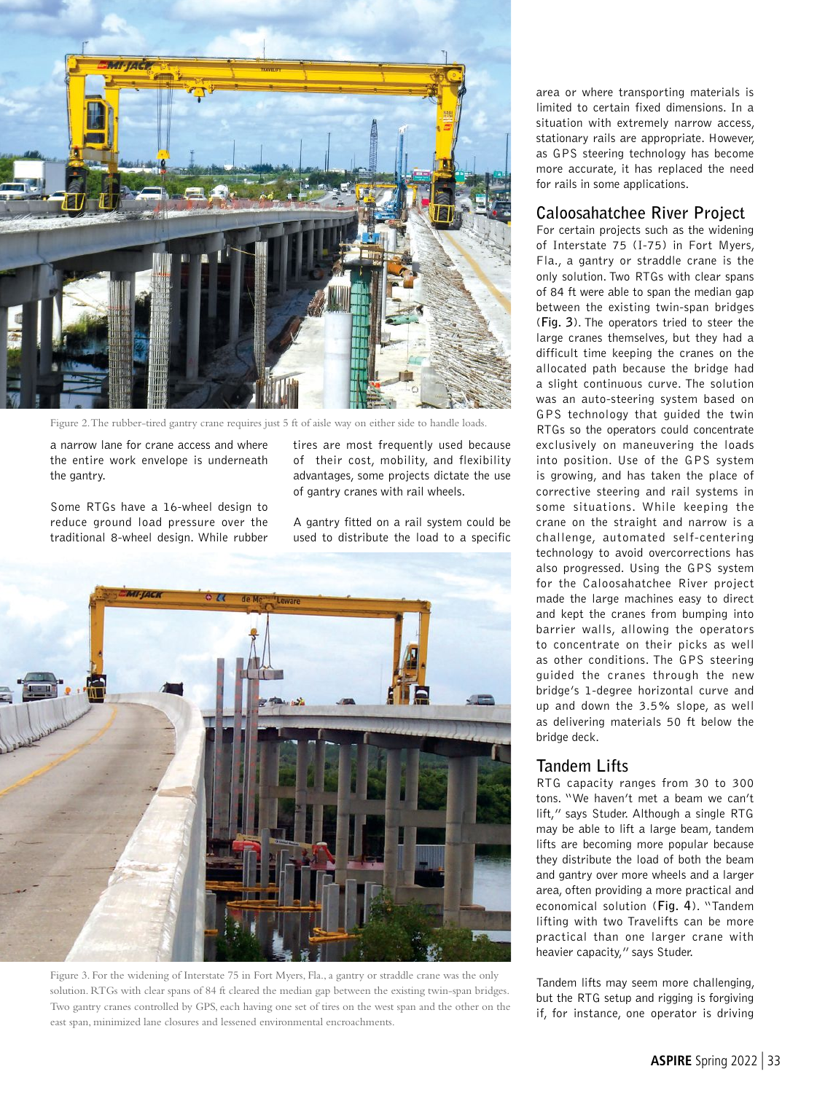![](_page_1_Picture_0.jpeg)

Figure 2. The rubber-tired gantry crane requires just 5 ft of aisle way on either side to handle loads.

a narrow lane for crane access and where the entire work envelope is underneath the gantry.

Some RTGs have a 16-wheel design to reduce ground load pressure over the traditional 8-wheel design. While rubber tires are most frequently used because of their cost, mobility, and flexibility advantages, some projects dictate the use of gantry cranes with rail wheels.

A gantry fitted on a rail system could be used to distribute the load to a specific

![](_page_1_Picture_6.jpeg)

Figure 3. For the widening of Interstate 75 in Fort Myers, Fla., a gantry or straddle crane was the only solution. RTGs with clear spans of 84 ft cleared the median gap between the existing twin-span bridges. Two gantry cranes controlled by GPS, each having one set of tires on the west span and the other on the east span, minimized lane closures and lessened environmental encroachments.

area or where transporting materials is limited to certain fixed dimensions. In a situation with extremely narrow access, stationary rails are appropriate. However, as GPS steering technology has become more accurate, it has replaced the need for rails in some applications.

## **Caloosahatchee River Project**

For certain projects such as the widening of Interstate 75 (I-75) in Fort Myers, Fla., a gantry or straddle crane is the only solution. Two RTGs with clear spans of 84 ft were able to span the median gap between the existing twin-span bridges (**Fig. 3**). The operators tried to steer the large cranes themselves, but they had a difficult time keeping the cranes on the allocated path because the bridge had a slight continuous curve. The solution was an auto-steering system based on GPS technology that guided the twin RTGs so the operators could concentrate exclusively on maneuvering the loads into position. Use of the GPS system is growing, and has taken the place of corrective steering and rail systems in some situations. While keeping the crane on the straight and narrow is a challenge, automated self-centering technology to avoid overcorrections has also progressed. Using the GPS system for the Caloosahatchee River project made the large machines easy to direct and kept the cranes from bumping into barrier walls, allowing the operators to concentrate on their picks as well as other conditions. The GPS steering guided the cranes through the new bridge's 1-degree horizontal curve and up and down the 3.5% slope, as well as delivering materials 50 ft below the bridge deck.

## **Tandem Lifts**

RTG capacity ranges from 30 to 300 tons. "We haven't met a beam we can't lift," says Studer. Although a single RTG may be able to lift a large beam, tandem lifts are becoming more popular because they distribute the load of both the beam and gantry over more wheels and a larger area, often providing a more practical and economical solution (**Fig. 4**). "Tandem lifting with two Travelifts can be more practical than one larger crane with heavier capacity," says Studer.

Tandem lifts may seem more challenging, but the RTG setup and rigging is forgiving if, for instance, one operator is driving